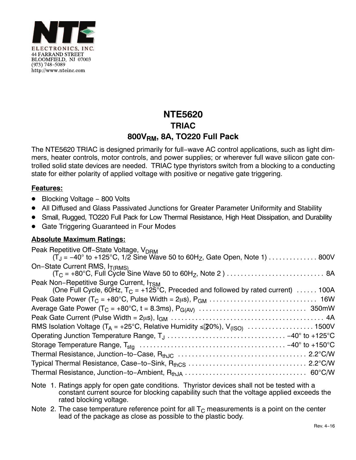

## **NTE5620 TRIAC 800VRM, 8A, TO220 Full Pack**

The NTE5620 TRIAC is designed primarily for full−wave AC control applications, such as light dimmers, heater controls, motor controls, and power supplies; or wherever full wave silicon gate controlled solid state devices are needed. TRIAC type thyristors switch from a blocking to a conducting state for either polarity of applied voltage with positive or negative gate triggering.

## **Features:**

- -Blocking Voltage − 800 Volts
- -All Diffused and Glass Passivated Junctions for Greater Parameter Uniformity and Stability
- -Small, Rugged, TO220 Full Pack for Low Thermal Resistance, High Heat Dissipation, and Durability
- -Gate Triggering Guaranteed in Four Modes

## **Absolute Maximum Ratings:**

- Note 1. Ratings apply for open gate conditions. Thyristor devices shall not be tested with a constant current source for blocking capability such that the voltage applied exceeds the rated blocking voltage.
- Note 2. The case temperature reference point for all  $T<sub>C</sub>$  measurements is a point on the center lead of the package as close as possible to the plastic body.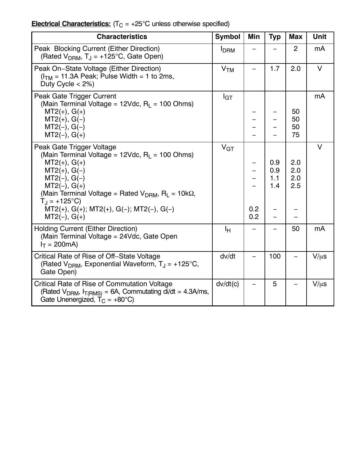## **Electrical Characteristics:** (T<sub>C</sub> = +25°C unless otherwise specified)

| <b>Characteristics</b>                                                                                                                                                                                                                                                                                                        | <b>Symbol</b>   | Min        | <b>Typ</b>               | <b>Max</b>               | <b>Unit</b>    |
|-------------------------------------------------------------------------------------------------------------------------------------------------------------------------------------------------------------------------------------------------------------------------------------------------------------------------------|-----------------|------------|--------------------------|--------------------------|----------------|
| Peak Blocking Current (Either Direction)<br>(Rated $V_{DRM}$ , T <sub>J</sub> = +125°C, Gate Open)                                                                                                                                                                                                                            | <b>I</b> DRM    |            |                          | $\overline{2}$           | m <sub>A</sub> |
| Peak On-State Voltage (Either Direction)<br>$(ITM = 11.3A Peak; Pulse Width = 1 to 2ms,$<br>Duty Cycle $<$ 2%)                                                                                                                                                                                                                | V <sub>TM</sub> |            | 1.7                      | 2.0                      | $\vee$         |
| Peak Gate Trigger Current<br>(Main Terminal Voltage = $12$ Vdc, R <sub>I</sub> = 100 Ohms)<br>$MT2(+), G(+)$<br>$MT2(+), G(-)$<br>$MT2(-), G(-)$<br>$MT2(-), G(+)$                                                                                                                                                            | $I_{GT}$        |            |                          | 50<br>50<br>50<br>75     | mA             |
| Peak Gate Trigger Voltage<br>(Main Terminal Voltage = 12Vdc, $R_1$ = 100 Ohms)<br>$MT2(+), G(+)$<br>$MT2(+), G(-)$<br>$MT2(-), G(-)$<br>$MT2(-), G(+)$<br>(Main Terminal Voltage = Rated $V_{DRM}$ , R <sub>L</sub> = 10k $\Omega$ ,<br>$T_{\rm J}$ = +125°C)<br>$MT2(+), G(+); MT2(+), G(-); MT2(-), G(-)$<br>$MT2(-), G(+)$ | V <sub>GT</sub> | 0.2<br>0.2 | 0.9<br>0.9<br>1.1<br>1.4 | 2.0<br>2.0<br>2.0<br>2.5 | $\vee$         |
| <b>Holding Current (Either Direction)</b><br>(Main Terminal Voltage = 24Vdc, Gate Open<br>$I_T = 200 \text{mA}$                                                                                                                                                                                                               | Īн              |            |                          | 50                       | mA             |
| Critical Rate of Rise of Off-State Voltage<br>(Rated $V_{DRM}$ , Exponential Waveform, $T_J = +125^{\circ}C$ ,<br>Gate Open)                                                                                                                                                                                                  | dv/dt           |            | 100                      |                          | $V/\mu s$      |
| <b>Critical Rate of Rise of Commutation Voltage</b><br>(Rated $V_{DRM}$ , $I_{T(RMS)} = 6A$ , Commutating di/dt = 4.3A/ms,<br>Gate Unenergized, $T_C = +80^{\circ}C$ )                                                                                                                                                        | dv/dt(c)        |            | 5                        |                          | $V/\mu s$      |